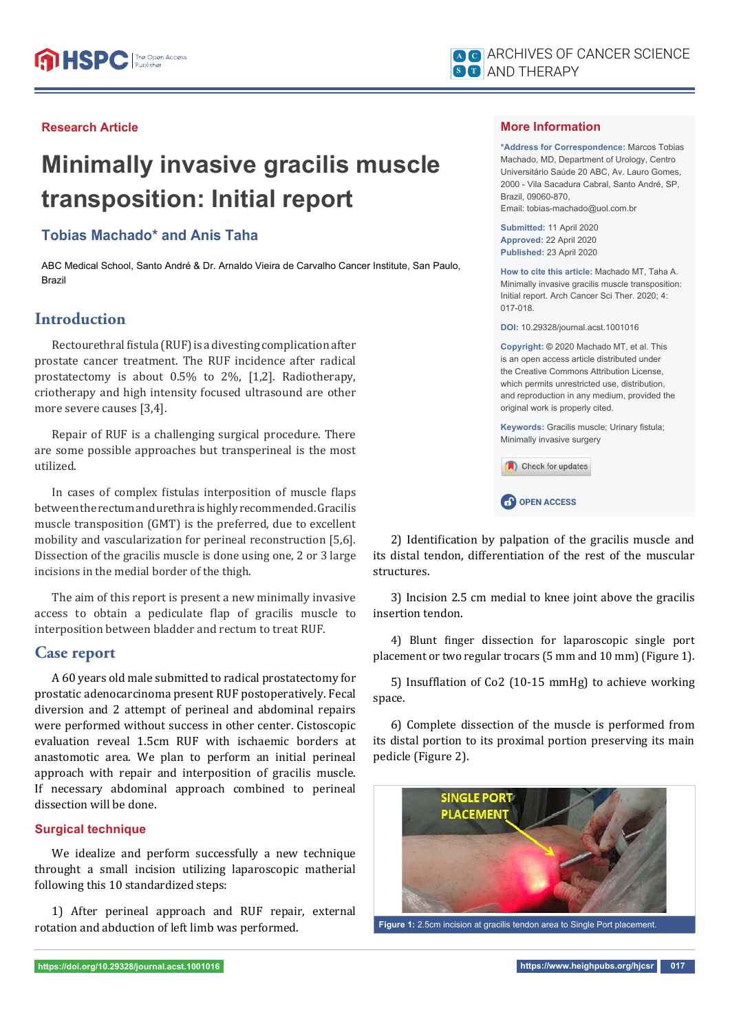#### **Research Article**

# **Minimally invasive gracilis muscle transposition: Initial report**

## **Tobias Machado\* and Anis Taha**

ABC Medical School, Santo André & Dr. Arnaldo Vieira de Carvalho Cancer Institute, San Paulo, Brazil

## **Introduction**

Rectourethral fistula (RUF) is a divesting complication after prostate cancer treatment. The RUF incidence after radical prostatectomy is about 0.5% to 2%, [1,2]. Radiotherapy, criotherapy and high intensity focused ultrasound are other more severe causes [3,4].

Repair of RUF is a challenging surgical procedure. There are some possible approaches but transperineal is the most utilized.

In cases of complex fistulas interposition of muscle flaps between the rectum and urethra is highly recommended. Gracilis muscle transposition (GMT) is the preferred, due to excellent mobility and vascularization for perineal reconstruction [5,6]. Dissection of the gracilis muscle is done using one, 2 or 3 large incisions in the medial border of the thigh.

The aim of this report is present a new minimally invasive access to obtain a pediculate flap of gracilis muscle to interposition between bladder and rectum to treat RUF.

## **Case report**

A 60 years old male submitted to radical prostatectomy for prostatic adenocarcinoma present RUF postoperatively. Fecal diversion and 2 attempt of perineal and abdominal repairs were performed without success in other center. Cistoscopic evaluation reveal 1.5cm RUF with ischaemic borders at anastomotic area. We plan to perform an initial perineal approach with repair and interposition of gracilis muscle. If necessary abdominal approach combined to perineal dissection will be done.

#### **Surgical technique**

We idealize and perform successfully a new technique throught a small incision utilizing laparoscopic matherial following this 10 standardized steps:

1) After perineal approach and RUF repair, external rotation and abduction of left limb was performed.

#### **More Information**

**\*Address for Correspondence:** Marcos Tobias Machado, MD, Department of Urology, Centro Universitário Saúde 20 ABC, Av. Lauro Gomes, 2000 - Vila Sacadura Cabral, Santo André, SP, Brazil, 09060-870, Email: tobias-machado@uol.com.br

**Submitted:** 11 April 2020 **Approved:** 22 April 2020 **Published:** 23 April 2020

**How to cite this article:** Machado MT, Taha A. Minimally invasive gracilis muscle transposition: Initial report. Arch Cancer Sci Ther. 2020; 4: 017-018.

**DOI:** 10.29328/journal.acst.1001016

**Copyright: ©** 2020 Machado MT, et al. This is an open access article distributed under the Creative Commons Attribution License, which permits unrestricted use, distribution, and reproduction in any medium, provided the original work is properly cited.

**Keywords: Gracilis muscle: Urinary fistula:** Minimally invasive surgery



2) Identification by palpation of the gracilis muscle and its distal tendon, differentiation of the rest of the muscular structures.

3) Incision 2.5 cm medial to knee joint above the gracilis insertion tendon.

4) Blunt finger dissection for laparoscopic single port placement or two regular trocars (5 mm and 10 mm) (Figure 1).

5) Insufflation of Co2 (10-15 mmHg) to achieve working space.

6) Complete dissection of the muscle is performed from its distal portion to its proximal portion preserving its main pedicle (Figure 2).



**Figure 1:** 2.5cm incision at gracilis tendon area to Single Port placement.